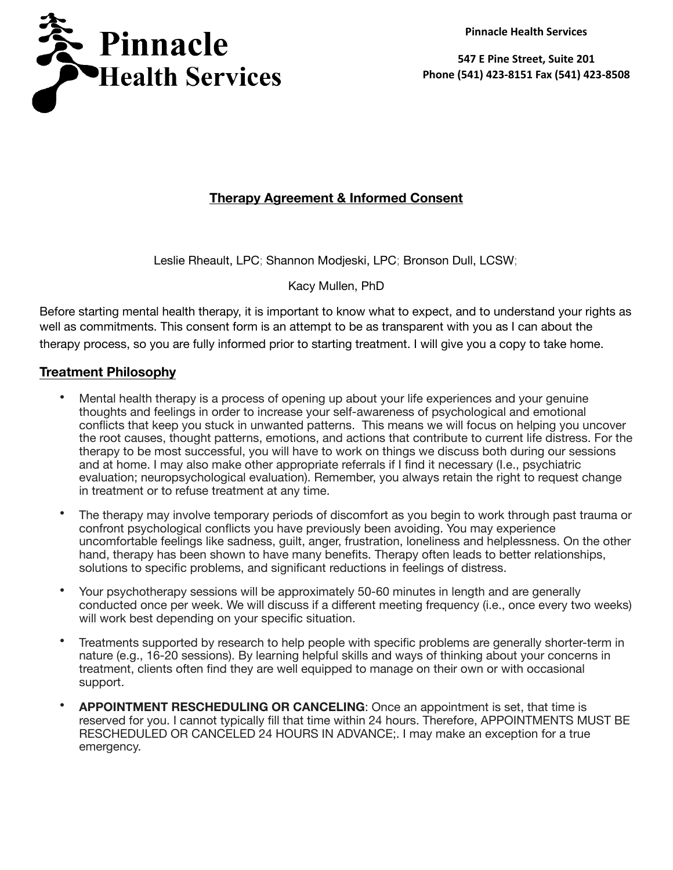**Pinnacle Health Services**



**547 E Pine Street, Suite 201 Phone (541) 423-8151 Fax (541) 423-8508**

# **Therapy Agreement & Informed Consent**

Leslie Rheault, LPC; Shannon Modjeski, LPC; Bronson Dull, LCSW;

Kacy Mullen, PhD

Before starting mental health therapy, it is important to know what to expect, and to understand your rights as well as commitments. This consent form is an attempt to be as transparent with you as I can about the therapy process, so you are fully informed prior to starting treatment. I will give you a copy to take home.

### **Treatment Philosophy**

- Mental health therapy is a process of opening up about your life experiences and your genuine thoughts and feelings in order to increase your self-awareness of psychological and emotional conflicts that keep you stuck in unwanted patterns. This means we will focus on helping you uncover the root causes, thought patterns, emotions, and actions that contribute to current life distress. For the therapy to be most successful, you will have to work on things we discuss both during our sessions and at home. I may also make other appropriate referrals if I find it necessary (I.e., psychiatric evaluation; neuropsychological evaluation). Remember, you always retain the right to request change in treatment or to refuse treatment at any time.
- The therapy may involve temporary periods of discomfort as you begin to work through past trauma or confront psychological conflicts you have previously been avoiding. You may experience uncomfortable feelings like sadness, guilt, anger, frustration, loneliness and helplessness. On the other hand, therapy has been shown to have many benefits. Therapy often leads to better relationships, solutions to specific problems, and significant reductions in feelings of distress.
- Your psychotherapy sessions will be approximately 50-60 minutes in length and are generally conducted once per week. We will discuss if a different meeting frequency (i.e., once every two weeks) will work best depending on your specific situation.
- Treatments supported by research to help people with specific problems are generally shorter-term in nature (e.g., 16-20 sessions). By learning helpful skills and ways of thinking about your concerns in treatment, clients often find they are well equipped to manage on their own or with occasional support.
- **APPOINTMENT RESCHEDULING OR CANCELING**: Once an appointment is set, that time is reserved for you. I cannot typically fill that time within 24 hours. Therefore, APPOINTMENTS MUST BE RESCHEDULED OR CANCELED 24 HOURS IN ADVANCE;. I may make an exception for a true emergency.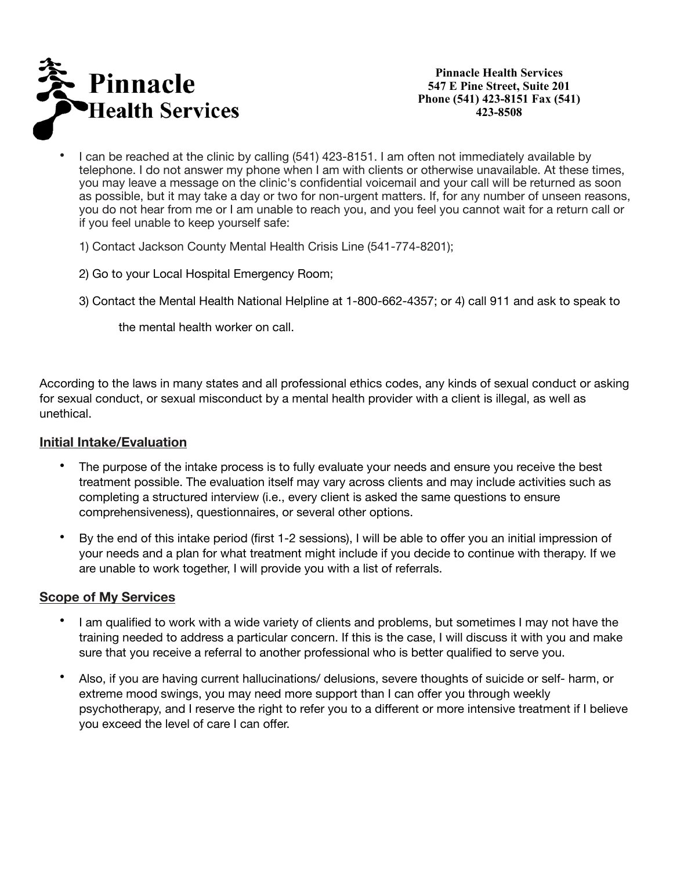

**Pinnacle Health Services 547 E Pine Street, Suite 201 Phone (541) 423-8151 Fax (541) 423-8508**

- I can be reached at the clinic by calling (541) 423-8151. I am often not immediately available by telephone. I do not answer my phone when I am with clients or otherwise unavailable. At these times, you may leave a message on the clinic's confidential voicemail and your call will be returned as soon as possible, but it may take a day or two for non-urgent matters. If, for any number of unseen reasons, you do not hear from me or I am unable to reach you, and you feel you cannot wait for a return call or if you feel unable to keep yourself safe:
	- 1) Contact Jackson County Mental Health Crisis Line (541-774-8201);
	- 2) Go to your Local Hospital Emergency Room;
	- 3) Contact the Mental Health National Helpline at 1-800-662-4357; or 4) call 911 and ask to speak to

 the mental health worker on call.

According to the laws in many states and all professional ethics codes, any kinds of sexual conduct or asking for sexual conduct, or sexual misconduct by a mental health provider with a client is illegal, as well as unethical.

### **Initial Intake/Evaluation**

- The purpose of the intake process is to fully evaluate your needs and ensure you receive the best treatment possible. The evaluation itself may vary across clients and may include activities such as completing a structured interview (i.e., every client is asked the same questions to ensure comprehensiveness), questionnaires, or several other options.
- By the end of this intake period (first 1-2 sessions), I will be able to offer you an initial impression of your needs and a plan for what treatment might include if you decide to continue with therapy. If we are unable to work together, I will provide you with a list of referrals.

### **Scope of My Services**

- I am qualified to work with a wide variety of clients and problems, but sometimes I may not have the training needed to address a particular concern. If this is the case, I will discuss it with you and make sure that you receive a referral to another professional who is better qualified to serve you.
- Also, if you are having current hallucinations/ delusions, severe thoughts of suicide or self- harm, or extreme mood swings, you may need more support than I can offer you through weekly psychotherapy, and I reserve the right to refer you to a different or more intensive treatment if I believe you exceed the level of care I can offer.